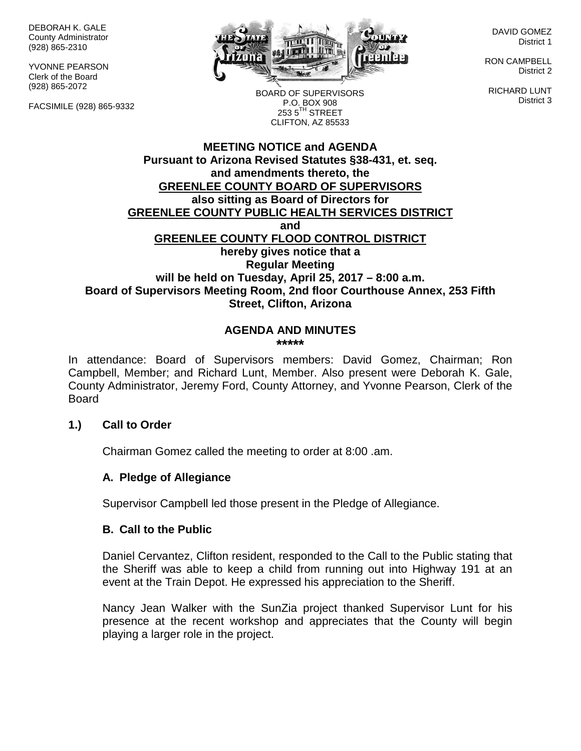DEBORAH K. GALE County Administrator (928) 865-2310

YVONNE PEARSON Clerk of the Board (928) 865-2072

FACSIMILE (928) 865-9332



DAVID GOMEZ District 1

RON CAMPBELL District 2

RICHARD LUNT District 3

BOARD OF SUPERVISORS P.O. BOX 908  $253.5$ <sup>TH</sup> STREET CLIFTON, AZ 85533

# **MEETING NOTICE and AGENDA Pursuant to Arizona Revised Statutes §38-431, et. seq. and amendments thereto, the GREENLEE COUNTY BOARD OF SUPERVISORS also sitting as Board of Directors for GREENLEE COUNTY PUBLIC HEALTH SERVICES DISTRICT and GREENLEE COUNTY FLOOD CONTROL DISTRICT hereby gives notice that a Regular Meeting will be held on Tuesday, April 25, 2017 – 8:00 a.m. Board of Supervisors Meeting Room, 2nd floor Courthouse Annex, 253 Fifth Street, Clifton, Arizona**

#### **AGENDA AND MINUTES \*\*\*\*\***

In attendance: Board of Supervisors members: David Gomez, Chairman; Ron Campbell, Member; and Richard Lunt, Member. Also present were Deborah K. Gale, County Administrator, Jeremy Ford, County Attorney, and Yvonne Pearson, Clerk of the **Board** 

# **1.) Call to Order**

Chairman Gomez called the meeting to order at 8:00 .am.

# **A. Pledge of Allegiance**

Supervisor Campbell led those present in the Pledge of Allegiance.

#### **B. Call to the Public**

Daniel Cervantez, Clifton resident, responded to the Call to the Public stating that the Sheriff was able to keep a child from running out into Highway 191 at an event at the Train Depot. He expressed his appreciation to the Sheriff.

Nancy Jean Walker with the SunZia project thanked Supervisor Lunt for his presence at the recent workshop and appreciates that the County will begin playing a larger role in the project.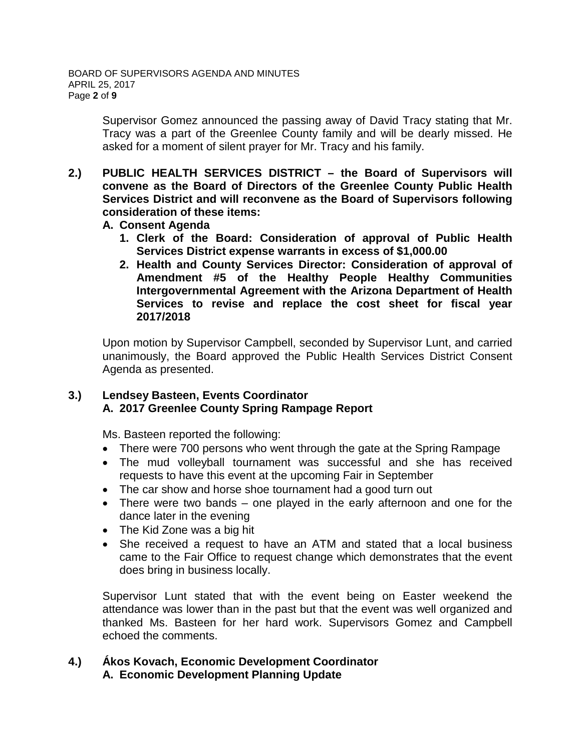Supervisor Gomez announced the passing away of David Tracy stating that Mr. Tracy was a part of the Greenlee County family and will be dearly missed. He asked for a moment of silent prayer for Mr. Tracy and his family.

- **2.) PUBLIC HEALTH SERVICES DISTRICT – the Board of Supervisors will convene as the Board of Directors of the Greenlee County Public Health Services District and will reconvene as the Board of Supervisors following consideration of these items:**
	- **A. Consent Agenda**
		- **1. Clerk of the Board: Consideration of approval of Public Health Services District expense warrants in excess of \$1,000.00**
		- **2. Health and County Services Director: Consideration of approval of Amendment #5 of the Healthy People Healthy Communities Intergovernmental Agreement with the Arizona Department of Health Services to revise and replace the cost sheet for fiscal year 2017/2018**

Upon motion by Supervisor Campbell, seconded by Supervisor Lunt, and carried unanimously, the Board approved the Public Health Services District Consent Agenda as presented.

# **3.) Lendsey Basteen, Events Coordinator A. 2017 Greenlee County Spring Rampage Report**

Ms. Basteen reported the following:

- There were 700 persons who went through the gate at the Spring Rampage
- The mud volleyball tournament was successful and she has received requests to have this event at the upcoming Fair in September
- The car show and horse shoe tournament had a good turn out
- There were two bands one played in the early afternoon and one for the dance later in the evening
- The Kid Zone was a big hit
- She received a request to have an ATM and stated that a local business came to the Fair Office to request change which demonstrates that the event does bring in business locally.

Supervisor Lunt stated that with the event being on Easter weekend the attendance was lower than in the past but that the event was well organized and thanked Ms. Basteen for her hard work. Supervisors Gomez and Campbell echoed the comments.

## **4.) Ákos Kovach, Economic Development Coordinator A. Economic Development Planning Update**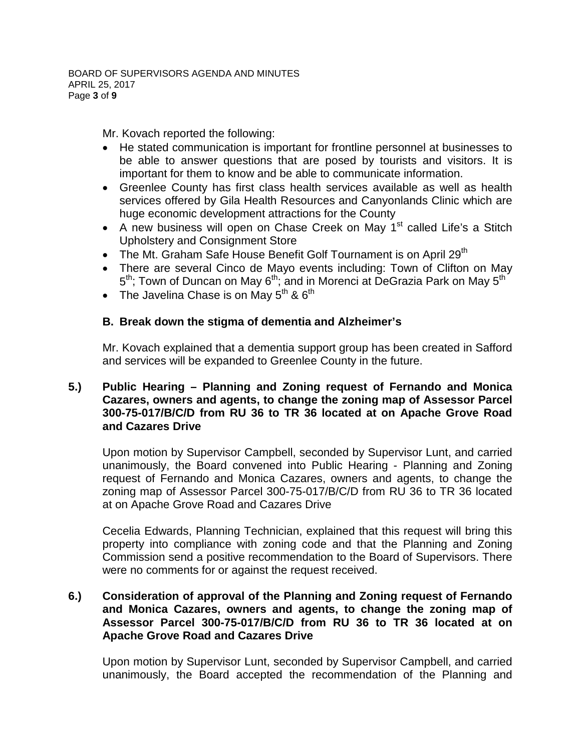Mr. Kovach reported the following:

- He stated communication is important for frontline personnel at businesses to be able to answer questions that are posed by tourists and visitors. It is important for them to know and be able to communicate information.
- Greenlee County has first class health services available as well as health services offered by Gila Health Resources and Canyonlands Clinic which are huge economic development attractions for the County
- A new business will open on Chase Creek on May  $1<sup>st</sup>$  called Life's a Stitch Upholstery and Consignment Store
- The Mt. Graham Safe House Benefit Golf Tournament is on April 29<sup>th</sup>
- There are several Cinco de Mayo events including: Town of Clifton on May  $5<sup>th</sup>$ ; Town of Duncan on May  $6<sup>th</sup>$ ; and in Morenci at DeGrazia Park on May  $5<sup>th</sup>$
- The Javelina Chase is on May  $5<sup>th</sup>$  &  $6<sup>th</sup>$

# **B. Break down the stigma of dementia and Alzheimer's**

Mr. Kovach explained that a dementia support group has been created in Safford and services will be expanded to Greenlee County in the future.

# **5.) Public Hearing – Planning and Zoning request of Fernando and Monica Cazares, owners and agents, to change the zoning map of Assessor Parcel 300-75-017/B/C/D from RU 36 to TR 36 located at on Apache Grove Road and Cazares Drive**

Upon motion by Supervisor Campbell, seconded by Supervisor Lunt, and carried unanimously, the Board convened into Public Hearing - Planning and Zoning request of Fernando and Monica Cazares, owners and agents, to change the zoning map of Assessor Parcel 300-75-017/B/C/D from RU 36 to TR 36 located at on Apache Grove Road and Cazares Drive

Cecelia Edwards, Planning Technician, explained that this request will bring this property into compliance with zoning code and that the Planning and Zoning Commission send a positive recommendation to the Board of Supervisors. There were no comments for or against the request received.

# **6.) Consideration of approval of the Planning and Zoning request of Fernando and Monica Cazares, owners and agents, to change the zoning map of Assessor Parcel 300-75-017/B/C/D from RU 36 to TR 36 located at on Apache Grove Road and Cazares Drive**

Upon motion by Supervisor Lunt, seconded by Supervisor Campbell, and carried unanimously, the Board accepted the recommendation of the Planning and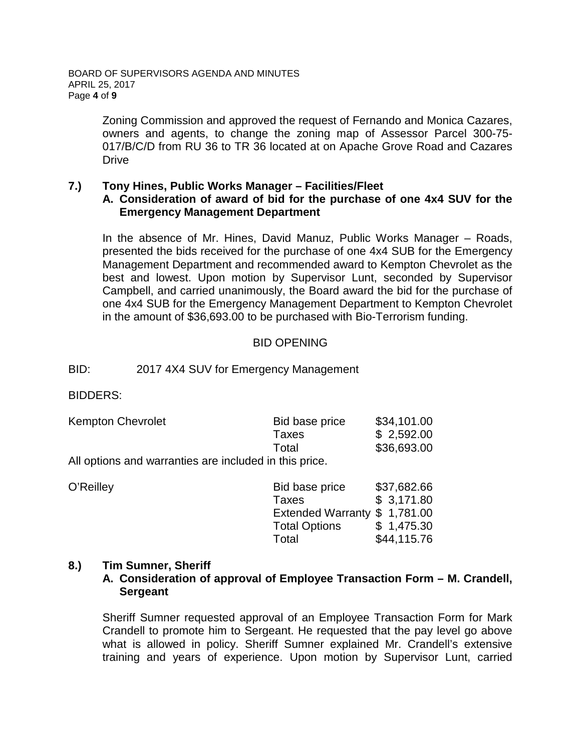Zoning Commission and approved the request of Fernando and Monica Cazares, owners and agents, to change the zoning map of Assessor Parcel 300-75- 017/B/C/D from RU 36 to TR 36 located at on Apache Grove Road and Cazares **Drive** 

# **7.) Tony Hines, Public Works Manager – Facilities/Fleet**

#### **A. Consideration of award of bid for the purchase of one 4x4 SUV for the Emergency Management Department**

In the absence of Mr. Hines, David Manuz, Public Works Manager – Roads, presented the bids received for the purchase of one 4x4 SUB for the Emergency Management Department and recommended award to Kempton Chevrolet as the best and lowest. Upon motion by Supervisor Lunt, seconded by Supervisor Campbell, and carried unanimously, the Board award the bid for the purchase of one 4x4 SUB for the Emergency Management Department to Kempton Chevrolet in the amount of \$36,693.00 to be purchased with Bio-Terrorism funding.

# BID OPENING

## BID: 2017 4X4 SUV for Emergency Management

BIDDERS:

| <b>Kempton Chevrolet</b>                              | Bid base price | \$34,101.00 |
|-------------------------------------------------------|----------------|-------------|
|                                                       | Taxes          | \$2,592.00  |
|                                                       | Total          | \$36,693.00 |
| All options and warraption are included in this price |                |             |

All options and warranties are included in this price.

| \$37,682.66                   |
|-------------------------------|
| \$3,171.80                    |
| Extended Warranty \$ 1,781.00 |
| \$1,475.30                    |
| \$44,115.76                   |
|                               |

# **8.) Tim Sumner, Sheriff**

## **A. Consideration of approval of Employee Transaction Form – M. Crandell, Sergeant**

Sheriff Sumner requested approval of an Employee Transaction Form for Mark Crandell to promote him to Sergeant. He requested that the pay level go above what is allowed in policy. Sheriff Sumner explained Mr. Crandell's extensive training and years of experience. Upon motion by Supervisor Lunt, carried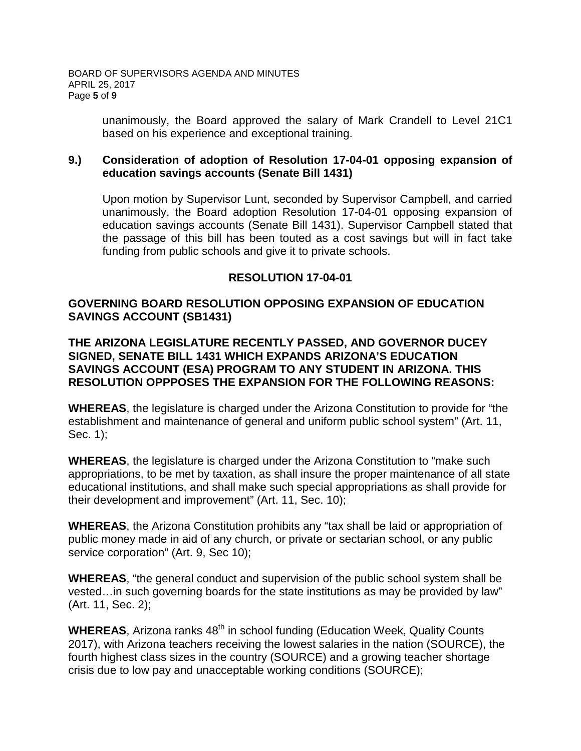unanimously, the Board approved the salary of Mark Crandell to Level 21C1 based on his experience and exceptional training.

# **9.) Consideration of adoption of Resolution 17-04-01 opposing expansion of education savings accounts (Senate Bill 1431)**

Upon motion by Supervisor Lunt, seconded by Supervisor Campbell, and carried unanimously, the Board adoption Resolution 17-04-01 opposing expansion of education savings accounts (Senate Bill 1431). Supervisor Campbell stated that the passage of this bill has been touted as a cost savings but will in fact take funding from public schools and give it to private schools.

# **RESOLUTION 17-04-01**

# **GOVERNING BOARD RESOLUTION OPPOSING EXPANSION OF EDUCATION SAVINGS ACCOUNT (SB1431)**

**THE ARIZONA LEGISLATURE RECENTLY PASSED, AND GOVERNOR DUCEY SIGNED, SENATE BILL 1431 WHICH EXPANDS ARIZONA'S EDUCATION SAVINGS ACCOUNT (ESA) PROGRAM TO ANY STUDENT IN ARIZONA. THIS RESOLUTION OPPPOSES THE EXPANSION FOR THE FOLLOWING REASONS:**

**WHEREAS**, the legislature is charged under the Arizona Constitution to provide for "the establishment and maintenance of general and uniform public school system" (Art. 11, Sec. 1);

**WHEREAS**, the legislature is charged under the Arizona Constitution to "make such appropriations, to be met by taxation, as shall insure the proper maintenance of all state educational institutions, and shall make such special appropriations as shall provide for their development and improvement" (Art. 11, Sec. 10);

**WHEREAS**, the Arizona Constitution prohibits any "tax shall be laid or appropriation of public money made in aid of any church, or private or sectarian school, or any public service corporation" (Art. 9, Sec 10);

**WHEREAS**, "the general conduct and supervision of the public school system shall be vested…in such governing boards for the state institutions as may be provided by law" (Art. 11, Sec. 2);

**WHEREAS**, Arizona ranks 48<sup>th</sup> in school funding (Education Week, Quality Counts 2017), with Arizona teachers receiving the lowest salaries in the nation (SOURCE), the fourth highest class sizes in the country (SOURCE) and a growing teacher shortage crisis due to low pay and unacceptable working conditions (SOURCE);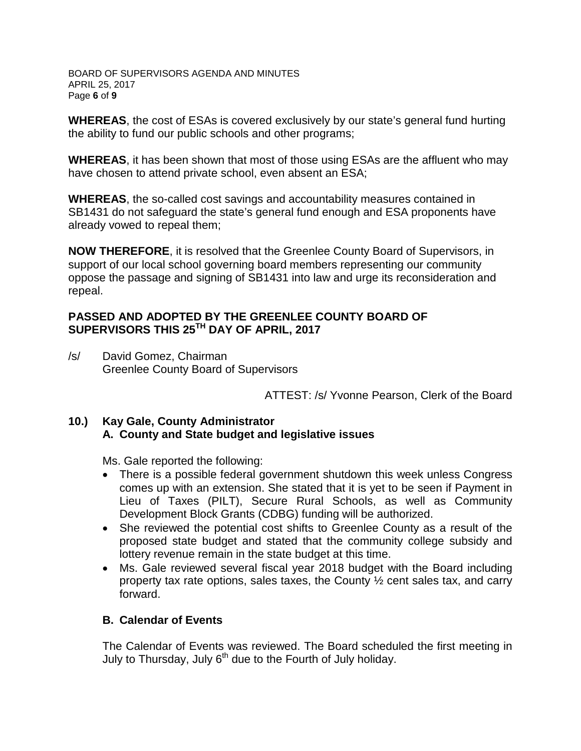BOARD OF SUPERVISORS AGENDA AND MINUTES APRIL 25, 2017 Page **6** of **9**

**WHEREAS**, the cost of ESAs is covered exclusively by our state's general fund hurting the ability to fund our public schools and other programs;

**WHEREAS**, it has been shown that most of those using ESAs are the affluent who may have chosen to attend private school, even absent an ESA;

**WHEREAS**, the so-called cost savings and accountability measures contained in SB1431 do not safeguard the state's general fund enough and ESA proponents have already vowed to repeal them;

**NOW THEREFORE**, it is resolved that the Greenlee County Board of Supervisors, in support of our local school governing board members representing our community oppose the passage and signing of SB1431 into law and urge its reconsideration and repeal.

## **PASSED AND ADOPTED BY THE GREENLEE COUNTY BOARD OF SUPERVISORS THIS 25TH DAY OF APRIL, 2017**

/s/ David Gomez, Chairman Greenlee County Board of Supervisors

ATTEST: /s/ Yvonne Pearson, Clerk of the Board

## **10.) Kay Gale, County Administrator A. County and State budget and legislative issues**

Ms. Gale reported the following:

- There is a possible federal government shutdown this week unless Congress comes up with an extension. She stated that it is yet to be seen if Payment in Lieu of Taxes (PILT), Secure Rural Schools, as well as Community Development Block Grants (CDBG) funding will be authorized.
- She reviewed the potential cost shifts to Greenlee County as a result of the proposed state budget and stated that the community college subsidy and lottery revenue remain in the state budget at this time.
- Ms. Gale reviewed several fiscal year 2018 budget with the Board including property tax rate options, sales taxes, the County ½ cent sales tax, and carry forward.

# **B. Calendar of Events**

The Calendar of Events was reviewed. The Board scheduled the first meeting in July to Thursday, July 6<sup>th</sup> due to the Fourth of July holiday.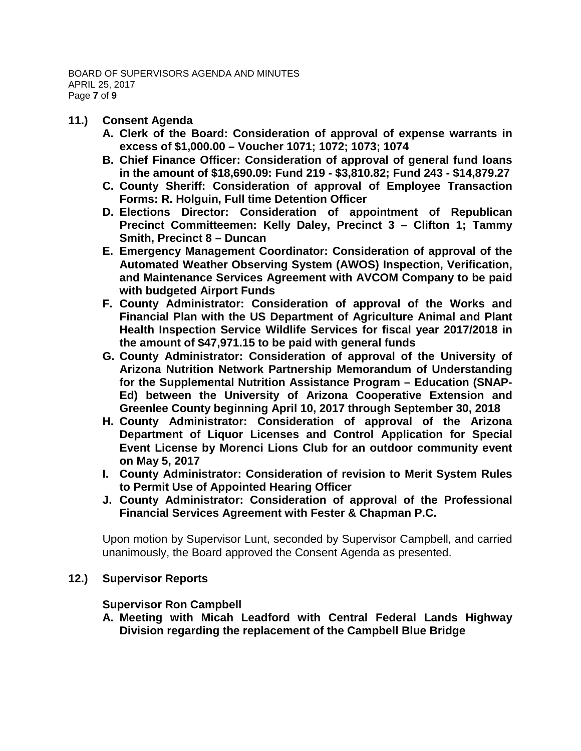- **11.) Consent Agenda**
	- **A. Clerk of the Board: Consideration of approval of expense warrants in excess of \$1,000.00 – Voucher 1071; 1072; 1073; 1074**
	- **B. Chief Finance Officer: Consideration of approval of general fund loans in the amount of \$18,690.09: Fund 219 - \$3,810.82; Fund 243 - \$14,879.27**
	- **C. County Sheriff: Consideration of approval of Employee Transaction Forms: R. Holguin, Full time Detention Officer**
	- **D. Elections Director: Consideration of appointment of Republican Precinct Committeemen: Kelly Daley, Precinct 3 – Clifton 1; Tammy Smith, Precinct 8 – Duncan**
	- **E. Emergency Management Coordinator: Consideration of approval of the Automated Weather Observing System (AWOS) Inspection, Verification, and Maintenance Services Agreement with AVCOM Company to be paid with budgeted Airport Funds**
	- **F. County Administrator: Consideration of approval of the Works and Financial Plan with the US Department of Agriculture Animal and Plant Health Inspection Service Wildlife Services for fiscal year 2017/2018 in the amount of \$47,971.15 to be paid with general funds**
	- **G. County Administrator: Consideration of approval of the University of Arizona Nutrition Network Partnership Memorandum of Understanding for the Supplemental Nutrition Assistance Program – Education (SNAP-Ed) between the University of Arizona Cooperative Extension and Greenlee County beginning April 10, 2017 through September 30, 2018**
	- **H. County Administrator: Consideration of approval of the Arizona Department of Liquor Licenses and Control Application for Special Event License by Morenci Lions Club for an outdoor community event on May 5, 2017**
	- **I. County Administrator: Consideration of revision to Merit System Rules to Permit Use of Appointed Hearing Officer**
	- **J. County Administrator: Consideration of approval of the Professional Financial Services Agreement with Fester & Chapman P.C.**

Upon motion by Supervisor Lunt, seconded by Supervisor Campbell, and carried unanimously, the Board approved the Consent Agenda as presented.

# **12.) Supervisor Reports**

**Supervisor Ron Campbell**

**A. Meeting with Micah Leadford with Central Federal Lands Highway Division regarding the replacement of the Campbell Blue Bridge**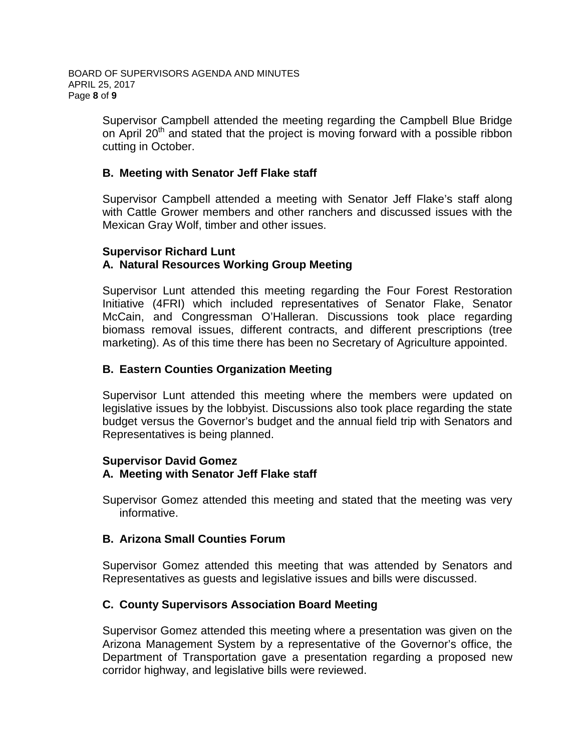Supervisor Campbell attended the meeting regarding the Campbell Blue Bridge on April 20<sup>th</sup> and stated that the project is moving forward with a possible ribbon cutting in October.

# **B. Meeting with Senator Jeff Flake staff**

Supervisor Campbell attended a meeting with Senator Jeff Flake's staff along with Cattle Grower members and other ranchers and discussed issues with the Mexican Gray Wolf, timber and other issues.

# **Supervisor Richard Lunt**

# **A. Natural Resources Working Group Meeting**

Supervisor Lunt attended this meeting regarding the Four Forest Restoration Initiative (4FRI) which included representatives of Senator Flake, Senator McCain, and Congressman O'Halleran. Discussions took place regarding biomass removal issues, different contracts, and different prescriptions (tree marketing). As of this time there has been no Secretary of Agriculture appointed.

# **B. Eastern Counties Organization Meeting**

Supervisor Lunt attended this meeting where the members were updated on legislative issues by the lobbyist. Discussions also took place regarding the state budget versus the Governor's budget and the annual field trip with Senators and Representatives is being planned.

#### **Supervisor David Gomez A. Meeting with Senator Jeff Flake staff**

Supervisor Gomez attended this meeting and stated that the meeting was very informative.

# **B. Arizona Small Counties Forum**

Supervisor Gomez attended this meeting that was attended by Senators and Representatives as guests and legislative issues and bills were discussed.

# **C. County Supervisors Association Board Meeting**

Supervisor Gomez attended this meeting where a presentation was given on the Arizona Management System by a representative of the Governor's office, the Department of Transportation gave a presentation regarding a proposed new corridor highway, and legislative bills were reviewed.